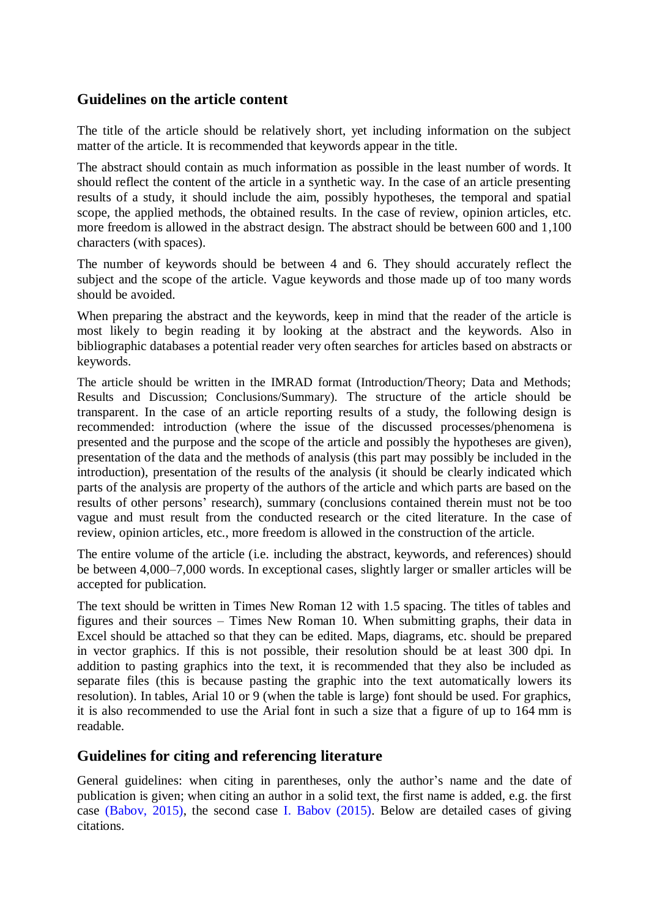# **Guidelines on the article content**

The title of the article should be relatively short, yet including information on the subject matter of the article. It is recommended that keywords appear in the title.

The abstract should contain as much information as possible in the least number of words. It should reflect the content of the article in a synthetic way. In the case of an article presenting results of a study, it should include the aim, possibly hypotheses, the temporal and spatial scope, the applied methods, the obtained results. In the case of review, opinion articles, etc. more freedom is allowed in the abstract design. The abstract should be between 600 and 1,100 characters (with spaces).

The number of keywords should be between 4 and 6. They should accurately reflect the subject and the scope of the article. Vague keywords and those made up of too many words should be avoided.

When preparing the abstract and the keywords, keep in mind that the reader of the article is most likely to begin reading it by looking at the abstract and the keywords. Also in bibliographic databases a potential reader very often searches for articles based on abstracts or keywords.

The article should be written in the IMRAD format (Introduction/Theory; Data and Methods; Results and Discussion; Conclusions/Summary). The structure of the article should be transparent. In the case of an article reporting results of a study, the following design is recommended: introduction (where the issue of the discussed processes/phenomena is presented and the purpose and the scope of the article and possibly the hypotheses are given), presentation of the data and the methods of analysis (this part may possibly be included in the introduction), presentation of the results of the analysis (it should be clearly indicated which parts of the analysis are property of the authors of the article and which parts are based on the results of other persons' research), summary (conclusions contained therein must not be too vague and must result from the conducted research or the cited literature. In the case of review, opinion articles, etc., more freedom is allowed in the construction of the article.

The entire volume of the article (i.e. including the abstract, keywords, and references) should be between 4,000–7,000 words. In exceptional cases, slightly larger or smaller articles will be accepted for publication.

The text should be written in Times New Roman 12 with 1.5 spacing. The titles of tables and figures and their sources – Times New Roman 10. When submitting graphs, their data in Excel should be attached so that they can be edited. Maps, diagrams, etc. should be prepared in vector graphics. If this is not possible, their resolution should be at least 300 dpi. In addition to pasting graphics into the text, it is recommended that they also be included as separate files (this is because pasting the graphic into the text automatically lowers its resolution). In tables, Arial 10 or 9 (when the table is large) font should be used. For graphics, it is also recommended to use the Arial font in such a size that a figure of up to 164 mm is readable.

# **Guidelines for citing and referencing literature**

General guidelines: when citing in parentheses, only the author's name and the date of publication is given; when citing an author in a solid text, the first name is added, e.g. the first case (Babov, 2015), the second case I. Babov (2015). Below are detailed cases of giving citations.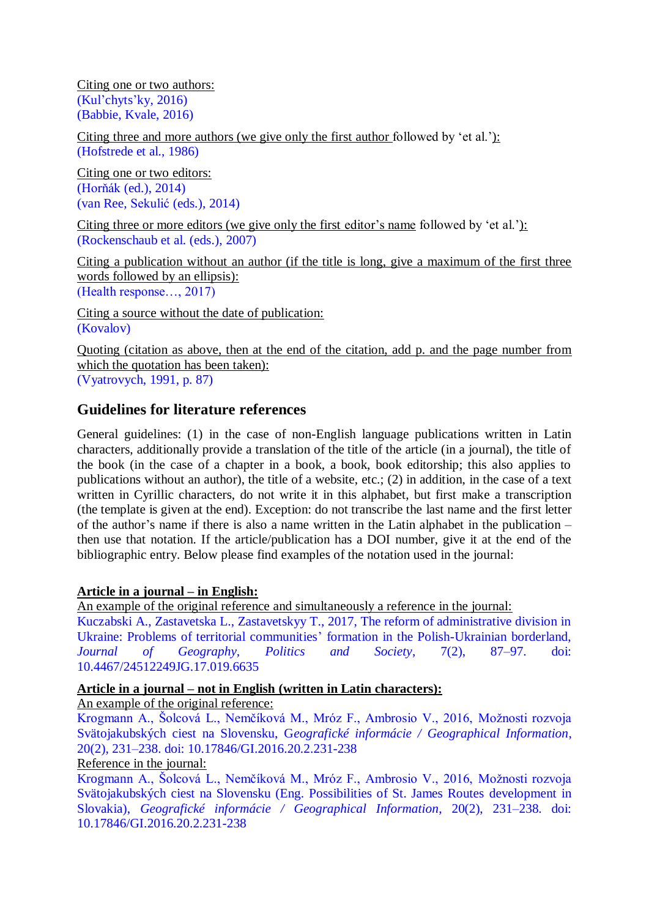Citing one or two authors: (Kul'chyts'ky, 2016) (Babbie, Kvale, 2016)

Citing three and more authors (we give only the first author followed by 'et al.'): (Hofstrede et al., 1986)

Citing one or two editors: (Horňák (ed.), 2014) (van Ree, Sekulić (eds.), 2014)

Citing three or more editors (we give only the first editor's name followed by 'et al.'): (Rockenschaub et al. (eds.), 2007)

Citing a publication without an author (if the title is long, give a maximum of the first three words followed by an ellipsis): (Health response…, 2017)

Citing a source without the date of publication: (Kovalov)

Quoting (citation as above, then at the end of the citation, add p. and the page number from which the quotation has been taken): (Vyatrovych, 1991, p. 87)

# **Guidelines for literature references**

General guidelines: (1) in the case of non-English language publications written in Latin characters, additionally provide a translation of the title of the article (in a journal), the title of the book (in the case of a chapter in a book, a book, book editorship; this also applies to publications without an author), the title of a website, etc.; (2) in addition, in the case of a text written in Cyrillic characters, do not write it in this alphabet, but first make a transcription (the template is given at the end). Exception: do not transcribe the last name and the first letter of the author's name if there is also a name written in the Latin alphabet in the publication – then use that notation. If the article/publication has a DOI number, give it at the end of the bibliographic entry. Below please find examples of the notation used in the journal:

# **Article in a journal – in English:**

An example of the original reference and simultaneously a reference in the journal:

Kuczabski A., Zastavetska L., Zastavetskyy T., 2017, The reform of administrative division in Ukraine: Problems of territorial communities' formation in the Polish-Ukrainian borderland, *Journal of Geography, Politics and Society*, 7(2), 87–97. doi: 10.4467/24512249JG.17.019.6635

## **Article in a journal – not in English (written in Latin characters):**

An example of the original reference:

Krogmann A., Šolcová L., Nemčíková M., Mróz F., Ambrosio V., 2016, Možnosti rozvoja Svätojakubských ciest na Slovensku, G*eografické informácie / Geographical Information*, 20(2), 231–238. doi: 10.17846/GI.2016.20.2.231-238

Reference in the journal:

Krogmann A., Šolcová L., Nemčíková M., Mróz F., Ambrosio V., 2016, Možnosti rozvoja Svätojakubských ciest na Slovensku (Eng. Possibilities of St. James Routes development in Slovakia), *Geografické informácie / Geographical Information*, 20(2), 231–238. doi: 10.17846/GI.2016.20.2.231-238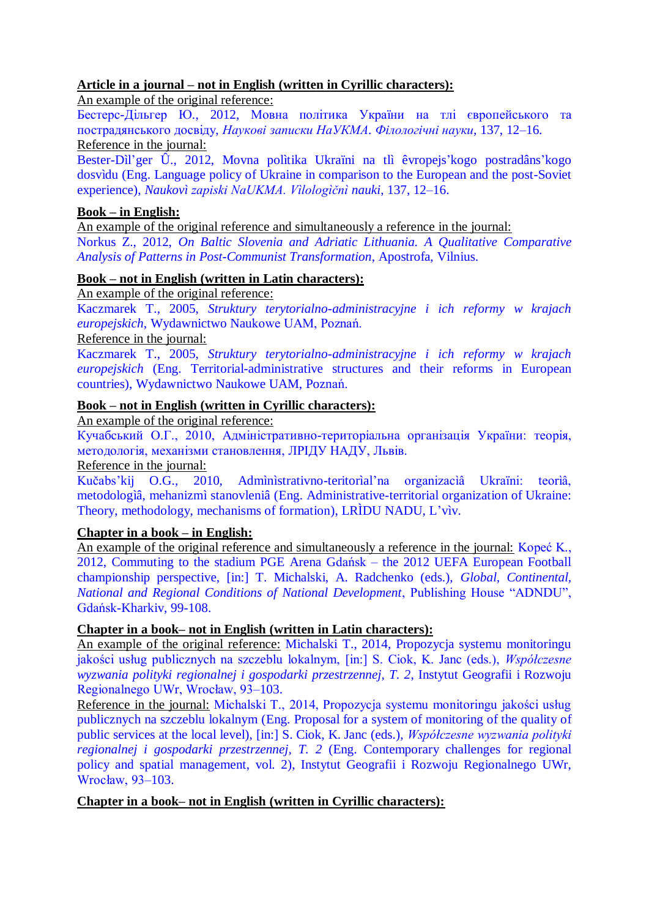## **Article in a journal – not in English (written in Cyrillic characters):**

An example of the original reference:

Бестерс-Дільгер Ю., 2012, Мовна політика України на тлі європейського та пострадянського досвіду, *Наукові записки НаУКМА. Філологічні науки*, 137, 12–16. Reference in the journal:

Bester-Dìl'ger Û., 2012, Movna polìtika Ukraїni na tlì êvropejs'kogo postradâns'kogo dosvìdu (Eng. Language policy of Ukraine in comparison to the European and the post-Soviet experience), *Naukovì zapiski NaUKMA. Vìlologìčnì nauki*, 137, 12–16.

# **Book – in English:**

An example of the original reference and simultaneously a reference in the journal:

Norkus Z., 2012, *On Baltic Slovenia and Adriatic Lithuania. A Qualitative Comparative Analysis of Patterns in Post-Communist Transformation*, Apostrofa, Vilnius.

# **Book – not in English (written in Latin characters):**

An example of the original reference:

Kaczmarek T., 2005, *Struktury terytorialno-administracyjne i ich reformy w krajach europejskich*, Wydawnictwo Naukowe UAM, Poznań.

Reference in the journal:

Kaczmarek T., 2005, *Struktury terytorialno-administracyjne i ich reformy w krajach europejskich* (Eng. Territorial-administrative structures and their reforms in European countries), Wydawnictwo Naukowe UAM, Poznań.

# **Book – not in English (written in Cyrillic characters):**

An example of the original reference:

Кучабський О.Г., 2010, [Адміністративно-територіальна організація України: теорія,](http://scholar.google.com/scholar?cluster=8666391490167096458&hl=en&oi=scholarr)  [методологія, механізми становлення,](http://scholar.google.com/scholar?cluster=8666391490167096458&hl=en&oi=scholarr) ЛРІДУ НАДУ, Львів.

Reference in the journal:

Kučabs'kij O.G., 2010, Admìnìstrativno-teritorìal'na organizacìâ Ukraїni: teorìâ, metodologìâ, mehanizmì stanovleniâ (Eng. Administrative-territorial organization of Ukraine: Theory, methodology, mechanisms of formation), LRÌDU NADU, L'vìv.

## **Chapter in a book – in English:**

An example of the original reference and simultaneously a reference in the journal: Kopeć K., 2012, Commuting to the stadium PGE Arena Gdańsk – the 2012 UEFA European Football championship perspective, [in:] T. Michalski, A. Radchenko (eds.), *Global, Continental, National and Regional Conditions of National Development*, Publishing House "ADNDU", Gdańsk-Kharkiv, 99-108.

# **Chapter in a book– not in English (written in Latin characters):**

An example of the original reference: Michalski T., 2014, Propozycja systemu monitoringu jakości usług publicznych na szczeblu lokalnym, [in:] S. Ciok, K. Janc (eds.), *Współczesne wyzwania polityki regionalnej i gospodarki przestrzennej, T. 2*, Instytut Geografii i Rozwoju Regionalnego UWr, Wrocław, 93–103.

Reference in the journal: Michalski T., 2014, Propozycja systemu monitoringu jakości usług publicznych na szczeblu lokalnym (Eng. Proposal for a system of monitoring of the quality of public services at the local level), [in:] S. Ciok, K. Janc (eds.), *Współczesne wyzwania polityki regionalnej i gospodarki przestrzennej, T. 2* (Eng. Contemporary challenges for regional policy and spatial management, vol. 2), Instytut Geografii i Rozwoju Regionalnego UWr, Wrocław, 93–103.

## **Chapter in a book– not in English (written in Cyrillic characters):**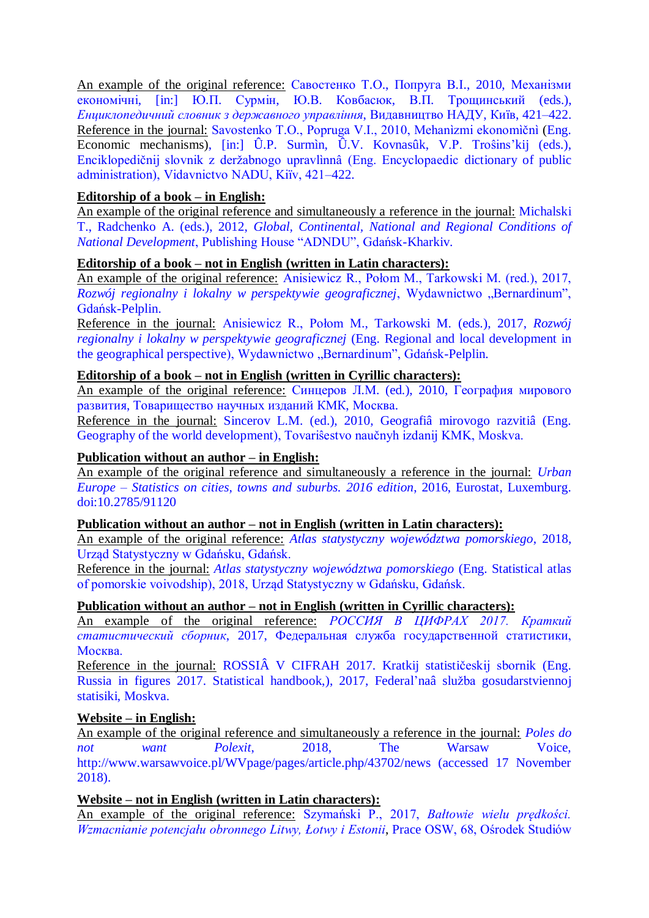An example of the original reference: Савостенко Т.О., Попруга В.І., 2010, Механізми економічні, [in:] Ю.П. Сурмін, Ю.В. Ковбасюк, В.П. Трощинський (eds.), *Енциклопедичний словник з державного управління*, Видавництво НАДУ, Київ, 421–422. Reference in the journal: Savostenko T.O., Popruga V.I., 2010, Mehanìzmi ekonomìčnì (Eng. Economic mechanisms), [in:] Û.P. Surmìn, Û.V. Kovnasûk, V.P. Troŝins'kij (eds.), Enciklopedičnij slovnik z deržabnogo upravlìnnâ (Eng. Encyclopaedic dictionary of public administration), Vidavnictvo NADU, Kiїv, 421–422.

## **Editorship of a book – in English:**

An example of the original reference and simultaneously a reference in the journal: Michalski T., Radchenko A. (eds.), 2012, *Global, Continental, National and Regional Conditions of National Development*, Publishing House "ADNDU", Gdańsk-Kharkiv.

### **Editorship of a book – not in English (written in Latin characters):**

An example of the original reference: Anisiewicz R., Połom M., Tarkowski M. (red.), 2017, *Rozwój regionalny i lokalny w perspektywie geograficznej*, Wydawnictwo "Bernardinum", Gdańsk-Pelplin.

Reference in the journal: Anisiewicz R., Połom M., Tarkowski M. (eds.), 2017, *Rozwój regionalny i lokalny w perspektywie geograficznej* (Eng. Regional and local development in the geographical perspective), Wydawnictwo "Bernardinum", Gdańsk-Pelplin.

#### **Editorship of a book – not in English (written in Cyrillic characters):**

An example of the original reference: Синцеров Л.М. (ed.), 2010, География мирового развития, Товарищество научных изданий КМК, Москва.

Reference in the journal: Sincerov L.M. (ed.), 2010, Geografiâ mirovogo razvitiâ (Eng. Geography of the world development), Tovariŝestvo naučnyh izdanij KMK, Moskva.

### **Publication without an author – in English:**

An example of the original reference and simultaneously a reference in the journal: *Urban Europe – Statistics on cities, towns and suburbs. 2016 edition*, 2016, Eurostat, Luxemburg. doi:10.2785/91120

### **Publication without an author – not in English (written in Latin characters):**

An example of the original reference: *Atlas statystyczny województwa pomorskiego*, 2018, Urząd Statystyczny w Gdańsku, Gdańsk.

Reference in the journal: *Atlas statystyczny województwa pomorskiego* (Eng. Statistical atlas of pomorskie voivodship), 2018, Urząd Statystyczny w Gdańsku, Gdańsk.

### **Publication without an author – not in English (written in Cyrillic characters):**

An example of the original reference: *РОССИЯ В ЦИФРАХ 2017. Краткий статистический сборник*, 2017, Федеральная служба государственной статистики, Москва.

Reference in the journal: ROSSIÂ V CIFRAH 2017. Kratkij statističeskij sbornik (Eng. Russia in figures 2017. Statistical handbook,), 2017, Federal'naâ služba gosudarstviennoj statisiki, Moskva.

#### **Website – in English:**

An example of the original reference and simultaneously a reference in the journal: *Poles do not want Polexit*, 2018, The Warsaw Voice, http://www.warsawvoice.pl/WVpage/pages/article.php/43702/news (accessed 17 November 2018).

#### **Website – not in English (written in Latin characters):**

An example of the original reference: Szymański P., 2017, *Bałtowie wielu prędkości. Wzmacnianie potencjału obronnego Litwy, Łotwy i Estonii*, Prace OSW, 68, Ośrodek Studiów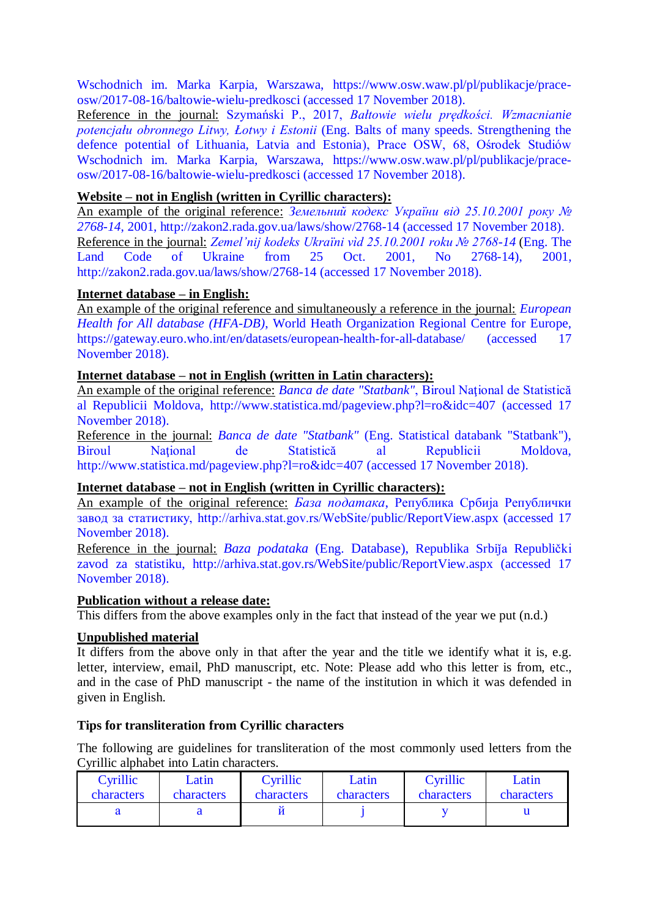Wschodnich im. Marka Karpia, Warszawa, https://www.osw.waw.pl/pl/publikacje/praceosw/2017-08-16/baltowie-wielu-predkosci (accessed 17 November 2018).

Reference in the journal: Szymański P., 2017, *Bałtowie wielu prędkości. Wzmacnianie potencjału obronnego Litwy, Łotwy i Estonii* (Eng. Balts of many speeds. Strengthening the defence potential of Lithuania, Latvia and Estonia), Prace OSW, 68, Ośrodek Studiów Wschodnich im. Marka Karpia, Warszawa, https://www.osw.waw.pl/pl/publikacje/praceosw/2017-08-16/baltowie-wielu-predkosci (accessed 17 November 2018).

## **Website – not in English (written in Cyrillic characters):**

An example of the original reference: *Земельний кодекс України від 25.10.2001 року № 2768-14*, 2001, http://zakon2.rada.gov.ua/laws/show/2768-14 (accessed 17 November 2018). Reference in the journal: *Zemel'nij kodeks Ukraїni vìd 25.10.2001 roku № 2768-14* (Eng. The Land Code of Ukraine from 25 Oct. 2001, No 2768-14), 2001, http://zakon2.rada.gov.ua/laws/show/2768-14 (accessed 17 November 2018).

# **Internet database – in English:**

An example of the original reference and simultaneously a reference in the journal: *European Health for All database (HFA-DB)*, World Heath Organization Regional Centre for Europe, https://gateway.euro.who.int/en/datasets/european-health-for-all-database/ (accessed 17 November 2018).

# **Internet database – not in English (written in Latin characters):**

An example of the original reference: *Banca de date "Statbank"*, Biroul Naţional de Statistică al Republicii Moldova, http://www.statistica.md/pageview.php?l=ro&idc=407 (accessed 17 November 2018).

Reference in the journal: *Banca de date "Statbank"* (Eng. Statistical databank "Statbank"), Biroul National de Statistică al Republicii Moldova, http://www.statistica.md/pageview.php?l=ro&idc=407 (accessed 17 November 2018).

## **Internet database – not in English (written in Cyrillic characters):**

An example of the original reference: *База података*, Република Србија Републички завод за статистику, http://arhiva.stat.gov.rs/WebSite/public/ReportView.aspx (accessed 17 November 2018).

Reference in the journal: *Baza podataka* (Eng. Database), Republika Srbija Republički zavod za statistiku, http://arhiva.stat.gov.rs/WebSite/public/ReportView.aspx (accessed 17 November 2018).

## **Publication without a release date:**

This differs from the above examples only in the fact that instead of the year we put (n.d.)

# **Unpublished material**

It differs from the above only in that after the year and the title we identify what it is, e.g. letter, interview, email, PhD manuscript, etc. Note: Please add who this letter is from, etc., and in the case of PhD manuscript - the name of the institution in which it was defended in given in English.

## **Tips for transliteration from Cyrillic characters**

The following are guidelines for transliteration of the most commonly used letters from the Cyrillic alphabet into Latin characters.

| Cyrillic   | Latin      | Cyrillic          | Latin             | Cyrillic   | Latin      |
|------------|------------|-------------------|-------------------|------------|------------|
| characters | characters | <b>characters</b> | <b>characters</b> | characters | characters |
|            |            |                   |                   |            |            |